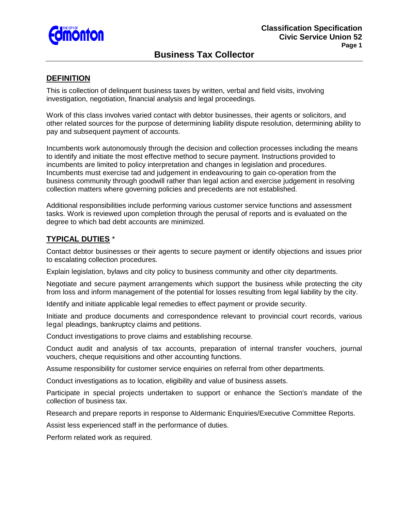

# **Business Tax Collector**

### **DEFINITION**

This is collection of delinquent business taxes by written, verbal and field visits, involving investigation, negotiation, financial analysis and legal proceedings.

Work of this class involves varied contact with debtor businesses, their agents or solicitors, and other related sources for the purpose of determining liability dispute resolution, determining ability to pay and subsequent payment of accounts.

Incumbents work autonomously through the decision and collection processes including the means to identify and initiate the most effective method to secure payment. Instructions provided to incumbents are limited to policy interpretation and changes in legislation and procedures. Incumbents must exercise tad and judgement in endeavouring to gain co-operation from the business community through goodwill rather than legal action and exercise judgement in resolving collection matters where governing policies and precedents are not established.

Additional responsibilities include performing various customer service functions and assessment tasks. Work is reviewed upon completion through the perusal of reports and is evaluated on the degree to which bad debt accounts are minimized.

### **TYPICAL DUTIES** \*

Contact debtor businesses or their agents to secure payment or identify objections and issues prior to escalating collection procedures.

Explain legislation, bylaws and city policy to business community and other city departments.

Negotiate and secure payment arrangements which support the business while protecting the city from loss and inform management of the potential for losses resulting from legal liability by the city.

Identify and initiate applicable legal remedies to effect payment or provide security.

Initiate and produce documents and correspondence relevant to provincial court records, various legal pleadings, bankruptcy claims and petitions.

Conduct investigations to prove claims and establishing recourse.

Conduct audit and analysis of tax accounts, preparation of internal transfer vouchers, journal vouchers, cheque requisitions and other accounting functions.

Assume responsibility for customer service enquiries on referral from other departments.

Conduct investigations as to location, eligibility and value of business assets.

Participate in special projects undertaken to support or enhance the Section's mandate of the collection of business tax.

Research and prepare reports in response to Aldermanic Enquiries/Executive Committee Reports.

Assist less experienced staff in the performance of duties.

Perform related work as required.